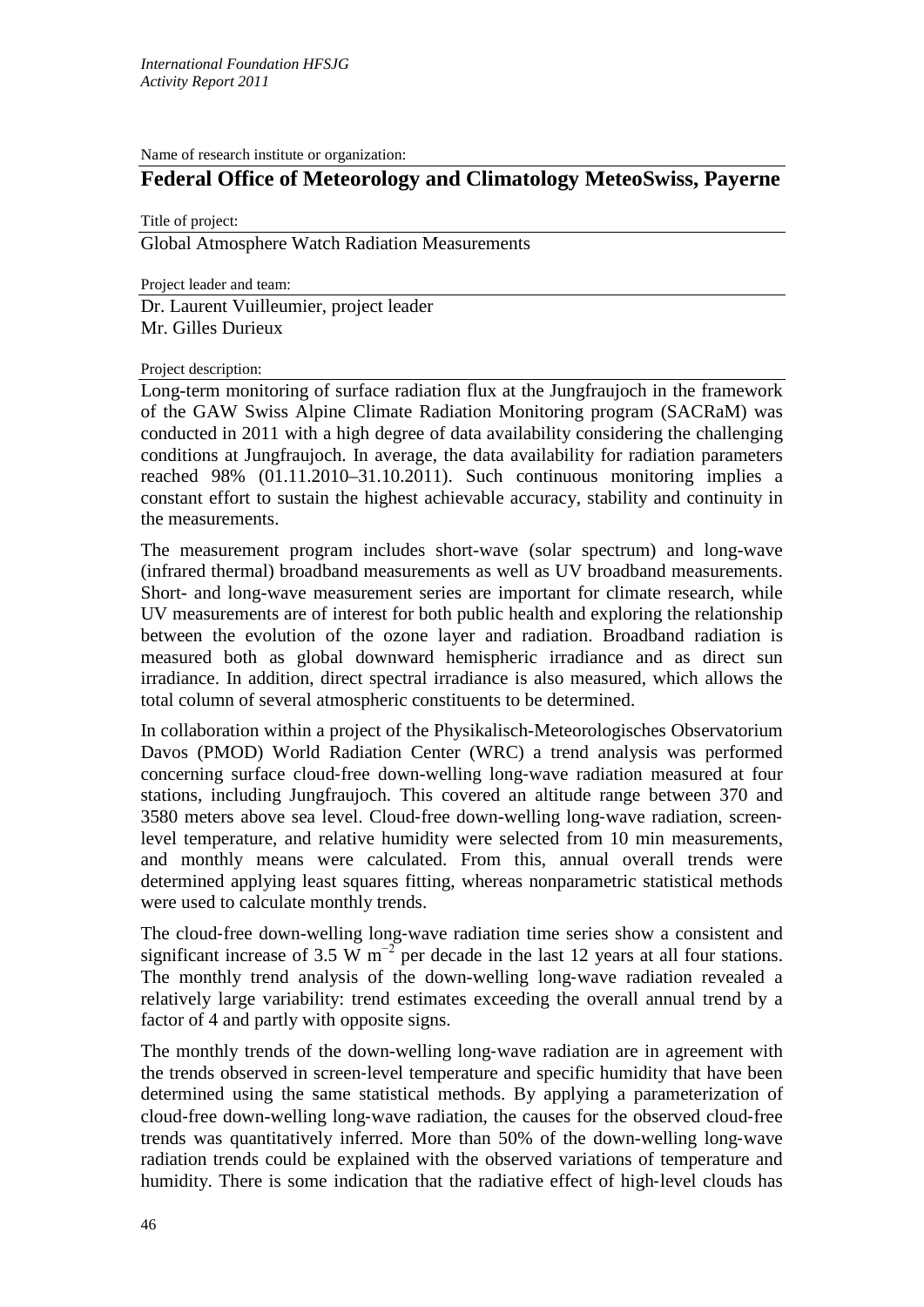Name of research institute or organization:

## **Federal Office of Meteorology and Climatology MeteoSwiss, Payerne**

Title of project:

Global Atmosphere Watch Radiation Measurements

Project leader and team:

Dr. Laurent Vuilleumier, project leader Mr. Gilles Durieux

Project description:

Long-term monitoring of surface radiation flux at the Jungfraujoch in the framework of the GAW Swiss Alpine Climate Radiation Monitoring program (SACRaM) was conducted in 2011 with a high degree of data availability considering the challenging conditions at Jungfraujoch. In average, the data availability for radiation parameters reached 98% (01.11.2010–31.10.2011). Such continuous monitoring implies a constant effort to sustain the highest achievable accuracy, stability and continuity in the measurements.

The measurement program includes short-wave (solar spectrum) and long-wave (infrared thermal) broadband measurements as well as UV broadband measurements. Short- and long-wave measurement series are important for climate research, while UV measurements are of interest for both public health and exploring the relationship between the evolution of the ozone layer and radiation. Broadband radiation is measured both as global downward hemispheric irradiance and as direct sun irradiance. In addition, direct spectral irradiance is also measured, which allows the total column of several atmospheric constituents to be determined.

In collaboration within a project of the Physikalisch-Meteorologisches Observatorium Davos (PMOD) World Radiation Center (WRC) a trend analysis was performed concerning surface cloud‐free down-welling long‐wave radiation measured at four stations, including Jungfraujoch. This covered an altitude range between 370 and 3580 meters above sea level. Cloud‐free down-welling long‐wave radiation, screen‐ level temperature, and relative humidity were selected from 10 min measurements, and monthly means were calculated. From this, annual overall trends were determined applying least squares fitting, whereas nonparametric statistical methods were used to calculate monthly trends.

The cloud-free down-welling long-wave radiation time series show a consistent and significant increase of 3.5 W  $m^{-2}$  per decade in the last 12 years at all four stations. The monthly trend analysis of the down-welling long‐wave radiation revealed a relatively large variability: trend estimates exceeding the overall annual trend by a factor of 4 and partly with opposite signs.

The monthly trends of the down-welling long‐wave radiation are in agreement with the trends observed in screen‐level temperature and specific humidity that have been determined using the same statistical methods. By applying a parameterization of cloud‐free down-welling long‐wave radiation, the causes for the observed cloud‐free trends was quantitatively inferred. More than 50% of the down-welling long‐wave radiation trends could be explained with the observed variations of temperature and humidity. There is some indication that the radiative effect of high-level clouds has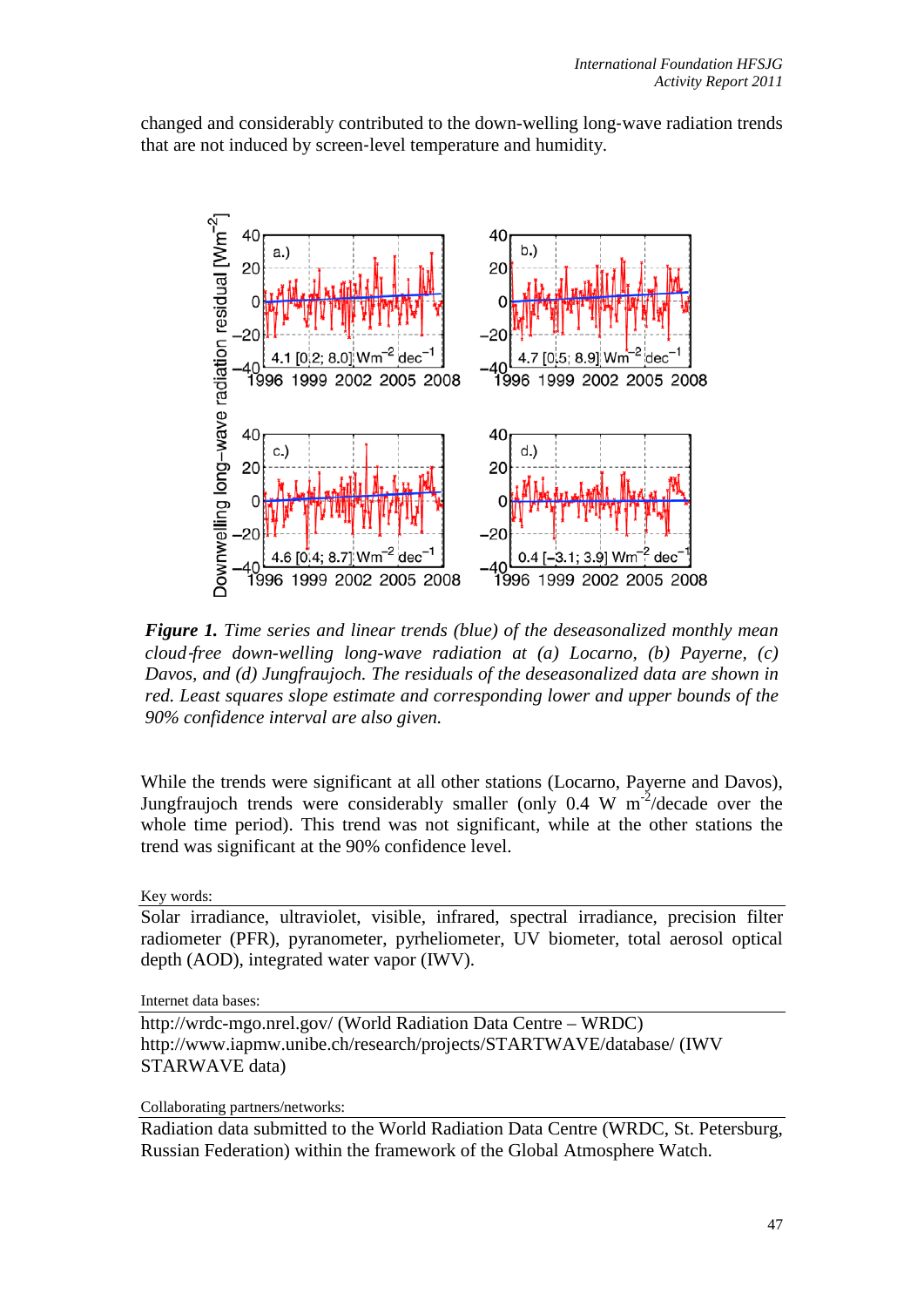changed and considerably contributed to the down-welling long‐wave radiation trends that are not induced by screen‐level temperature and humidity.



*Figure 1. Time series and linear trends (blue) of the deseasonalized monthly mean cloud*‐*free down-welling long-wave radiation at (a) Locarno, (b) Payerne, (c) Davos, and (d) Jungfraujoch. The residuals of the deseasonalized data are shown in red. Least squares slope estimate and corresponding lower and upper bounds of the 90% confidence interval are also given.*

While the trends were significant at all other stations (Locarno, Payerne and Davos), Jungfraujoch trends were considerably smaller (only 0.4 W  $m^{-2}/$ decade over the whole time period). This trend was not significant, while at the other stations the trend was significant at the 90% confidence level.

Key words:

Solar irradiance, ultraviolet, visible, infrared, spectral irradiance, precision filter radiometer (PFR), pyranometer, pyrheliometer, UV biometer, total aerosol optical depth (AOD), integrated water vapor (IWV).

Internet data bases:

http://wrdc-mgo.nrel.gov/ (World Radiation Data Centre – WRDC) http://www.iapmw.unibe.ch/research/projects/STARTWAVE/database/ (IWV STARWAVE data)

Collaborating partners/networks:

Radiation data submitted to the World Radiation Data Centre (WRDC, St. Petersburg, Russian Federation) within the framework of the Global Atmosphere Watch.